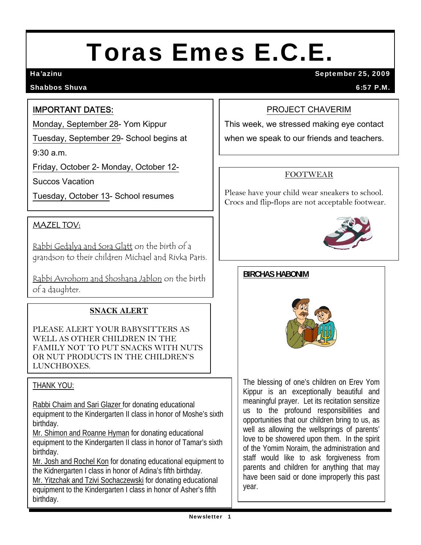# Toras Emes E.C.E.

#### Shabbos Shuva 6:57 P.M.

Ha'azinu September 25, 2009

#### IMPORTANT DATES:

Monday, September 28- Yom Kippur

Tuesday, September 29- School begins at

9:30 a.m.

Friday, October 2- Monday, October 12-

Succos Vacation

Tuesday, October 13- School resumes

## MAZEL TOV:

Rabbi Gedalya and Sora Glatt on the birth of a grandson to their children Michael and Rivka Paris.

Rabbi Avrohom and Shoshana Jablon on the birth of a daughter.

#### **SNACK ALERT**

PLEASE ALERT YOUR BABYSITTERS AS WELL AS OTHER CHILDREN IN THE FAMILY NOT TO PUT SNACKS WITH NUTS OR NUT PRODUCTS IN THE CHILDREN'S LUNCHBOXES.

#### THANK YOU:

j

Rabbi Chaim and Sari Glazer for donating educational equipment to the Kindergarten II class in honor of Moshe's sixth birthday.

Mr. Shimon and Roanne Hyman for donating educational equipment to the Kindergarten II class in honor of Tamar's sixth birthday.

Mr. Josh and Rochel Kon for donating educational equipment to the Kidnergarten I class in honor of Adina's fifth birthday.

Mr. Yitzchak and Tzivi Sochaczewski for donating educational equipment to the Kindergarten I class in honor of Asher's fifth birthday.

#### PROJECT CHAVERIM

This week, we stressed making eye contact

when we speak to our friends and teachers.

#### FOOTWEAR

Please have your child wear sneakers to school. Crocs and flip-flops are not acceptable footwear.



#### **BIRCHAS HABONIM**



The blessing of one's children on Erev Yom Kippur is an exceptionally beautiful and meaningful prayer. Let its recitation sensitize us to the profound responsibilities and opportunities that our children bring to us, as well as allowing the wellsprings of parents' love to be showered upon them. In the spirit of the Yomim Noraim, the administration and staff would like to ask forgiveness from parents and children for anything that may have been said or done improperly this past year.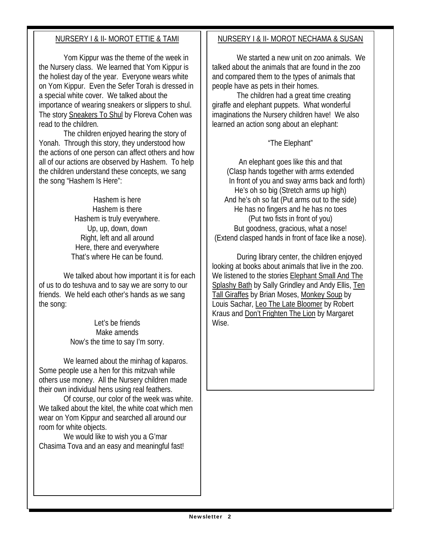#### NURSERY I & II- MOROT ETTIE & TAMI

 Yom Kippur was the theme of the week in the Nursery class. We learned that Yom Kippur is the holiest day of the year. Everyone wears white on Yom Kippur. Even the Sefer Torah is dressed in a special white cover. We talked about the importance of wearing sneakers or slippers to shul. The story Sneakers To Shul by Floreva Cohen was read to the children.

 The children enjoyed hearing the story of Yonah. Through this story, they understood how the actions of one person can affect others and how all of our actions are observed by Hashem. To help the children understand these concepts, we sang the song "Hashem Is Here":

> Hashem is here Hashem is there Hashem is truly everywhere. Up, up, down, down Right, left and all around Here, there and everywhere That's where He can be found.

 We talked about how important it is for each of us to do teshuva and to say we are sorry to our friends. We held each other's hands as we sang the song:

> Let's be friends Make amends Now's the time to say I'm sorry.

 We learned about the minhag of kaparos. Some people use a hen for this mitzvah while others use money. All the Nursery children made their own individual hens using real feathers.

 Of course, our color of the week was white. We talked about the kitel, the white coat which men wear on Yom Kippur and searched all around our room for white objects.

 We would like to wish you a G'mar Chasima Tova and an easy and meaningful fast!

#### NURSERY I & II- MOROT NECHAMA & SUSAN

We started a new unit on zoo animals. We talked about the animals that are found in the zoo and compared them to the types of animals that people have as pets in their homes.

 The children had a great time creating giraffe and elephant puppets. What wonderful imaginations the Nursery children have! We also learned an action song about an elephant:

#### "The Elephant"

An elephant goes like this and that (Clasp hands together with arms extended In front of you and sway arms back and forth) He's oh so big (Stretch arms up high) And he's oh so fat (Put arms out to the side) He has no fingers and he has no toes (Put two fists in front of you) But goodness, gracious, what a nose! (Extend clasped hands in front of face like a nose).

 During library center, the children enjoyed looking at books about animals that live in the zoo. We listened to the stories Elephant Small And The Splashy Bath by Sally Grindley and Andy Ellis, Ten Tall Giraffes by Brian Moses, Monkey Soup by Louis Sachar, Leo The Late Bloomer by Robert Kraus and Don't Frighten The Lion by Margaret Wise.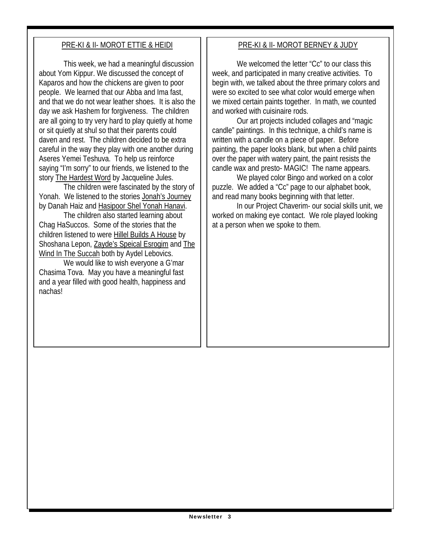### PRE-KI & II- MOROT ETTIE & HEIDI

 This week, we had a meaningful discussion about Yom Kippur. We discussed the concept of Kaparos and how the chickens are given to poor people. We learned that our Abba and Ima fast, and that we do not wear leather shoes. It is also the day we ask Hashem for forgiveness. The children are all going to try very hard to play quietly at home or sit quietly at shul so that their parents could daven and rest. The children decided to be extra careful in the way they play with one another during Aseres Yemei Teshuva. To help us reinforce saying "I'm sorry" to our friends, we listened to the story The Hardest Word by Jacqueline Jules.

 The children were fascinated by the story of Yonah. We listened to the stories Jonah's Journey by Danah Haiz and Hasipoor Shel Yonah Hanavi.

 The children also started learning about Chag HaSuccos. Some of the stories that the children listened to were Hillel Builds A House by Shoshana Lepon, Zayde's Speical Esrogim and The Wind In The Succah both by Aydel Lebovics.

 We would like to wish everyone a G'mar Chasima Tova. May you have a meaningful fast and a year filled with good health, happiness and nachas!

#### PRE-KI & II- MOROT BERNEY & JUDY

We welcomed the letter "Cc" to our class this week, and participated in many creative activities. To begin with, we talked about the three primary colors and were so excited to see what color would emerge when we mixed certain paints together. In math, we counted and worked with cuisinaire rods.

 Our art projects included collages and "magic candle" paintings. In this technique, a child's name is written with a candle on a piece of paper. Before painting, the paper looks blank, but when a child paints over the paper with watery paint, the paint resists the candle wax and presto- MAGIC! The name appears.

 We played color Bingo and worked on a color puzzle. We added a "Cc" page to our alphabet book, and read many books beginning with that letter.

 In our Project Chaverim- our social skills unit, we worked on making eye contact. We role played looking at a person when we spoke to them.